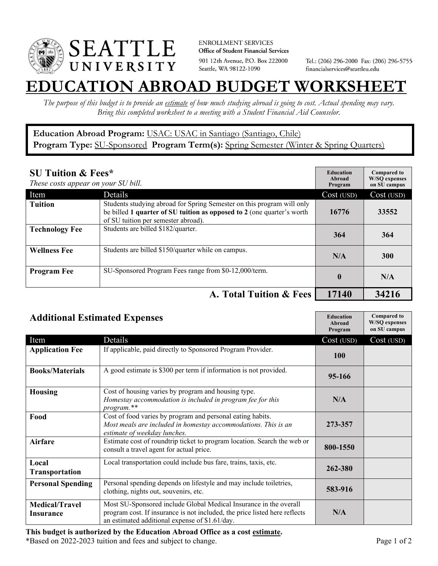

**ENROLLMENT SERVICES** Office of Student Financial Services 901 12th Avenue, P.O. Box 222000 Seattle, WA 98122-1090

Tel.: (206) 296-2000 Fax: (206) 296-5755 financialservices@seattleu.edu

## **EATION ABROAD BUDGET WORKSHEE**

*The purpose of this budget is to provide an estimate of how much studying abroad is going to cost. Actual spending may vary. Bring this completed worksheet to a meeting with a Student Financial Aid Counselor.* 

## **Education Abroad Program:** USAC: USAC in Santiago (Santiago, Chile) Program Type: **SU-Sponsored** Program Term(s): **Spring Semester** (Winter & Spring Quarters)

| <b>SU Tuition &amp; Fees*</b><br>These costs appear on your SU bill. |                                                                                                                                                                                         | <b>Education</b><br>Abroad<br>Program | <b>Compared to</b><br><b>W/SO</b> expenses<br>on SU campus |
|----------------------------------------------------------------------|-----------------------------------------------------------------------------------------------------------------------------------------------------------------------------------------|---------------------------------------|------------------------------------------------------------|
| Item                                                                 | Details                                                                                                                                                                                 | Cost (USD)                            | Cost (USD)                                                 |
| <b>Tuition</b>                                                       | Students studying abroad for Spring Semester on this program will only<br>be billed 1 quarter of SU tuition as opposed to 2 (one quarter's worth<br>of SU tuition per semester abroad). | 16776                                 | 33552                                                      |
| <b>Technology Fee</b>                                                | Students are billed \$182/quarter.                                                                                                                                                      | 364                                   | 364                                                        |
| <b>Wellness Fee</b>                                                  | Students are billed \$150/quarter while on campus.                                                                                                                                      | N/A                                   | <b>300</b>                                                 |
| <b>Program Fee</b>                                                   | SU-Sponsored Program Fees range from \$0-12,000/term.                                                                                                                                   | $\mathbf{0}$                          | N/A                                                        |
|                                                                      | A. Total Tuition & Fees                                                                                                                                                                 | 17140                                 | 34216                                                      |

| <b>Additional Estimated Expenses</b> |                                                                                                                                                                                                   | <b>Education</b><br>Abroad<br>Program | <b>Compared to</b><br><b>W/SQ</b> expenses<br>on SU campus |
|--------------------------------------|---------------------------------------------------------------------------------------------------------------------------------------------------------------------------------------------------|---------------------------------------|------------------------------------------------------------|
| Item                                 | Details                                                                                                                                                                                           | Cost (USD)                            | Cost (USD)                                                 |
| <b>Application Fee</b>               | If applicable, paid directly to Sponsored Program Provider.                                                                                                                                       | <b>100</b>                            |                                                            |
| <b>Books/Materials</b>               | A good estimate is \$300 per term if information is not provided.                                                                                                                                 | 95-166                                |                                                            |
| <b>Housing</b>                       | Cost of housing varies by program and housing type.<br>Homestay accommodation is included in program fee for this<br>program.**                                                                   | N/A                                   |                                                            |
| Food                                 | Cost of food varies by program and personal eating habits.<br>Most meals are included in homestay accommodations. This is an<br>estimate of weekday lunches.                                      | 273-357                               |                                                            |
| Airfare                              | Estimate cost of roundtrip ticket to program location. Search the web or<br>consult a travel agent for actual price.                                                                              | 800-1550                              |                                                            |
| Local<br>Transportation              | Local transportation could include bus fare, trains, taxis, etc.                                                                                                                                  | 262-380                               |                                                            |
| <b>Personal Spending</b>             | Personal spending depends on lifestyle and may include toiletries,<br>clothing, nights out, souvenirs, etc.                                                                                       | 583-916                               |                                                            |
| <b>Medical/Travel</b><br>Insurance   | Most SU-Sponsored include Global Medical Insurance in the overall<br>program cost. If insurance is not included, the price listed here reflects<br>an estimated additional expense of \$1.61/day. | N/A                                   |                                                            |

\*Based on 2022-2023 tuition and fees and subject to change. Page 1 of 2